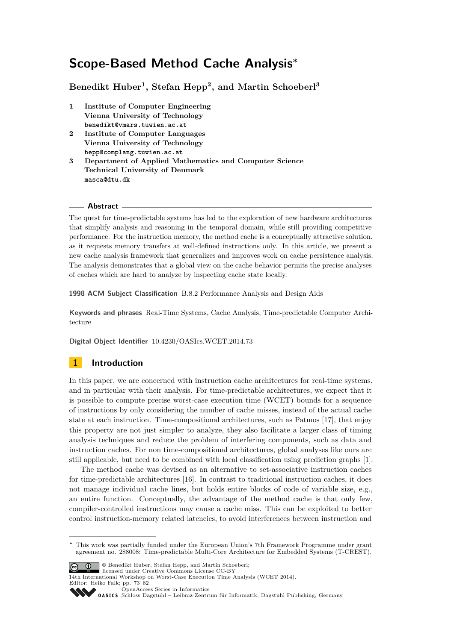# <span id="page-0-0"></span>**Scope-Based Method Cache Analysis<sup>∗</sup>**

**Benedikt Huber<sup>1</sup> , Stefan Hepp<sup>2</sup> , and Martin Schoeberl<sup>3</sup>**

- **1 Institute of Computer Engineering Vienna University of Technology benedikt@vmars.tuwien.ac.at**
- **2 Institute of Computer Languages Vienna University of Technology hepp@complang.tuwien.ac.at**
- **3 Department of Applied Mathematics and Computer Science Technical University of Denmark masca@dtu.dk**

#### **Abstract**

The quest for time-predictable systems has led to the exploration of new hardware architectures that simplify analysis and reasoning in the temporal domain, while still providing competitive performance. For the instruction memory, the method cache is a conceptually attractive solution, as it requests memory transfers at well-defined instructions only. In this article, we present a new cache analysis framework that generalizes and improves work on cache persistence analysis. The analysis demonstrates that a global view on the cache behavior permits the precise analyses of caches which are hard to analyze by inspecting cache state locally.

**1998 ACM Subject Classification** B.8.2 Performance Analysis and Design Aids

**Keywords and phrases** Real-Time Systems, Cache Analysis, Time-predictable Computer Architecture

**Digital Object Identifier** [10.4230/OASIcs.WCET.2014.73](http://dx.doi.org/10.4230/OASIcs.WCET.2014.73)

# **1 Introduction**

In this paper, we are concerned with instruction cache architectures for real-time systems, and in particular with their analysis. For time-predictable architectures, we expect that it is possible to compute precise worst-case execution time (WCET) bounds for a sequence of instructions by only considering the number of cache misses, instead of the actual cache state at each instruction. Time-compositional architectures, such as Patmos [\[17\]](#page-9-0), that enjoy this property are not just simpler to analyze, they also facilitate a larger class of timing analysis techniques and reduce the problem of interfering components, such as data and instruction caches. For non time-compositional architectures, global analyses like ours are still applicable, but need to be combined with local classification using prediction graphs [\[1\]](#page-8-0).

The method cache was devised as an alternative to set-associative instruction caches for time-predictable architectures [\[16\]](#page-9-1). In contrast to traditional instruction caches, it does not manage individual cache lines, but holds entire blocks of code of variable size, e.g., an entire function. Conceptually, the advantage of the method cache is that only few, compiler-controlled instructions may cause a cache miss. This can be exploited to better control instruction-memory related latencies, to avoid interferences between instruction and

**<sup>∗</sup>** This work was partially funded under the European Union's 7th Framework Programme under grant agreement no. 288008: Time-predictable Multi-Core Architecture for Embedded Systems (T-CREST).



© Benedikt Huber, Stefan Hepp, and Martin Schoeberl;

licensed under Creative Commons License CC-BY 14th International Workshop on Worst-Case Execution Time Analysis (WCET 2014).

Editor: Heiko Falk; pp. 73[–82](#page-9-2) [OpenAccess Series in Informatics](http://www.dagstuhl.de/oasics/)

[Schloss Dagstuhl – Leibniz-Zentrum für Informatik, Dagstuhl Publishing, Germany](http://www.dagstuhl.de/)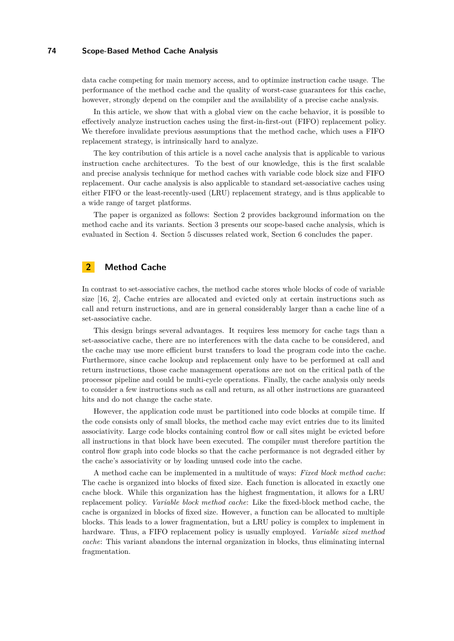#### **74 Scope-Based Method Cache Analysis**

data cache competing for main memory access, and to optimize instruction cache usage. The performance of the method cache and the quality of worst-case guarantees for this cache, however, strongly depend on the compiler and the availability of a precise cache analysis.

In this article, we show that with a global view on the cache behavior, it is possible to effectively analyze instruction caches using the first-in-first-out (FIFO) replacement policy. We therefore invalidate previous assumptions that the method cache, which uses a FIFO replacement strategy, is intrinsically hard to analyze.

The key contribution of this article is a novel cache analysis that is applicable to various instruction cache architectures. To the best of our knowledge, this is the first scalable and precise analysis technique for method caches with variable code block size and FIFO replacement. Our cache analysis is also applicable to standard set-associative caches using either FIFO or the least-recently-used (LRU) replacement strategy, and is thus applicable to a wide range of target platforms.

The paper is organized as follows: Section [2](#page-1-0) provides background information on the method cache and its variants. Section [3](#page-2-0) presents our scope-based cache analysis, which is evaluated in Section [4.](#page-6-0) Section [5](#page-7-0) discusses related work, Section [6](#page-8-1) concludes the paper.

# <span id="page-1-0"></span>**2 Method Cache**

In contrast to set-associative caches, the method cache stores whole blocks of code of variable size [\[16,](#page-9-1) [2\]](#page-8-2), Cache entries are allocated and evicted only at certain instructions such as call and return instructions, and are in general considerably larger than a cache line of a set-associative cache.

This design brings several advantages. It requires less memory for cache tags than a set-associative cache, there are no interferences with the data cache to be considered, and the cache may use more efficient burst transfers to load the program code into the cache. Furthermore, since cache lookup and replacement only have to be performed at call and return instructions, those cache management operations are not on the critical path of the processor pipeline and could be multi-cycle operations. Finally, the cache analysis only needs to consider a few instructions such as call and return, as all other instructions are guaranteed hits and do not change the cache state.

However, the application code must be partitioned into code blocks at compile time. If the code consists only of small blocks, the method cache may evict entries due to its limited associativity. Large code blocks containing control flow or call sites might be evicted before all instructions in that block have been executed. The compiler must therefore partition the control flow graph into code blocks so that the cache performance is not degraded either by the cache's associativity or by loading unused code into the cache.

A method cache can be implemented in a multitude of ways: *Fixed block method cache*: The cache is organized into blocks of fixed size. Each function is allocated in exactly one cache block. While this organization has the highest fragmentation, it allows for a LRU replacement policy. *Variable block method cache*: Like the fixed-block method cache, the cache is organized in blocks of fixed size. However, a function can be allocated to multiple blocks. This leads to a lower fragmentation, but a LRU policy is complex to implement in hardware. Thus, a FIFO replacement policy is usually employed. *Variable sized method cache*: This variant abandons the internal organization in blocks, thus eliminating internal fragmentation.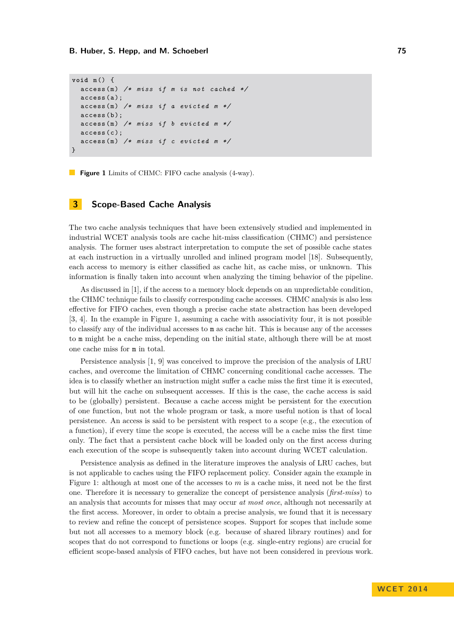```
void m () {
  access (m) /* miss if m is not cached */
  access (a);
  access (m) /* miss if a evicted m */
  access (b) :
  access (m) /* miss if b evicted m */
  access(c);
  access (m) /* miss if c evicted m */
}
```
**Figure 1** Limits of CHMC: FIFO cache analysis (4-way).

### <span id="page-2-0"></span>**3 Scope-Based Cache Analysis**

The two cache analysis techniques that have been extensively studied and implemented in industrial WCET analysis tools are cache hit-miss classification (CHMC) and persistence analysis. The former uses abstract interpretation to compute the set of possible cache states at each instruction in a virtually unrolled and inlined program model [\[18\]](#page-9-3). Subsequently, each access to memory is either classified as cache hit, as cache miss, or unknown. This information is finally taken into account when analyzing the timing behavior of the pipeline.

As discussed in [\[1\]](#page-8-0), if the access to a memory block depends on an unpredictable condition, the CHMC technique fails to classify corresponding cache accesses. CHMC analysis is also less effective for FIFO caches, even though a precise cache state abstraction has been developed [\[3,](#page-8-3) [4\]](#page-9-4). In the example in Figure [1,](#page-2-1) assuming a cache with associativity four, it is not possible to classify any of the individual accesses to m as cache hit. This is because any of the accesses to m might be a cache miss, depending on the initial state, although there will be at most one cache miss for m in total.

Persistence analysis [\[1,](#page-8-0) [9\]](#page-9-5) was conceived to improve the precision of the analysis of LRU caches, and overcome the limitation of CHMC concerning conditional cache accesses. The idea is to classify whether an instruction might suffer a cache miss the first time it is executed, but will hit the cache on subsequent accesses. If this is the case, the cache access is said to be (globally) persistent. Because a cache access might be persistent for the execution of one function, but not the whole program or task, a more useful notion is that of local persistence. An access is said to be persistent with respect to a scope (e.g., the execution of a function), if every time the scope is executed, the access will be a cache miss the first time only. The fact that a persistent cache block will be loaded only on the first access during each execution of the scope is subsequently taken into account during WCET calculation.

Persistence analysis as defined in the literature improves the analysis of LRU caches, but is not applicable to caches using the FIFO replacement policy. Consider again the example in Figure [1:](#page-2-1) although at most one of the accesses to *m* is a cache miss, it need not be the first one. Therefore it is necessary to generalize the concept of persistence analysis (*first-miss*) to an analysis that accounts for misses that may occur *at most once*, although not necessarily at the first access. Moreover, in order to obtain a precise analysis, we found that it is necessary to review and refine the concept of persistence scopes. Support for scopes that include some but not all accesses to a memory block (e.g. because of shared library routines) and for scopes that do not correspond to functions or loops (e.g. single-entry regions) are crucial for efficient scope-based analysis of FIFO caches, but have not been considered in previous work.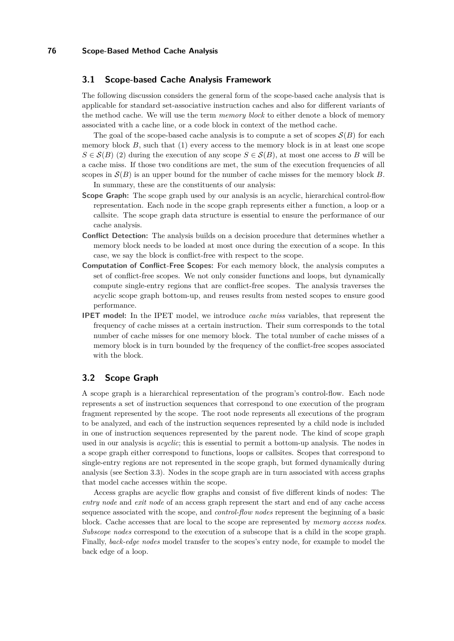## **3.1 Scope-based Cache Analysis Framework**

The following discussion considers the general form of the scope-based cache analysis that is applicable for standard set-associative instruction caches and also for different variants of the method cache. We will use the term *memory block* to either denote a block of memory associated with a cache line, or a code block in context of the method cache.

The goal of the scope-based cache analysis is to compute a set of scopes  $\mathcal{S}(B)$  for each memory block  $B$ , such that  $(1)$  every access to the memory block is in at least one scope  $S \in \mathcal{S}(B)$  (2) during the execution of any scope  $S \in \mathcal{S}(B)$ , at most one access to *B* will be a cache miss. If those two conditions are met, the sum of the execution frequencies of all scopes in  $\mathcal{S}(B)$  is an upper bound for the number of cache misses for the memory block *B*. In summary, these are the constituents of our analysis:

- **Scope Graph:** The scope graph used by our analysis is an acyclic, hierarchical control-flow representation. Each node in the scope graph represents either a function, a loop or a callsite. The scope graph data structure is essential to ensure the performance of our cache analysis.
- **Conflict Detection:** The analysis builds on a decision procedure that determines whether a memory block needs to be loaded at most once during the execution of a scope. In this case, we say the block is conflict-free with respect to the scope.
- **Computation of Conflict-Free Scopes:** For each memory block, the analysis computes a set of conflict-free scopes. We not only consider functions and loops, but dynamically compute single-entry regions that are conflict-free scopes. The analysis traverses the acyclic scope graph bottom-up, and reuses results from nested scopes to ensure good performance.
- **IPET model:** In the IPET model, we introduce *cache miss* variables, that represent the frequency of cache misses at a certain instruction. Their sum corresponds to the total number of cache misses for one memory block. The total number of cache misses of a memory block is in turn bounded by the frequency of the conflict-free scopes associated with the block.

## **3.2 Scope Graph**

A scope graph is a hierarchical representation of the program's control-flow. Each node represents a set of instruction sequences that correspond to one execution of the program fragment represented by the scope. The root node represents all executions of the program to be analyzed, and each of the instruction sequences represented by a child node is included in one of instruction sequences represented by the parent node. The kind of scope graph used in our analysis is *acyclic*; this is essential to permit a bottom-up analysis. The nodes in a scope graph either correspond to functions, loops or callsites. Scopes that correspond to single-entry regions are not represented in the scope graph, but formed dynamically during analysis (see Section [3.3\)](#page-4-0). Nodes in the scope graph are in turn associated with access graphs that model cache accesses within the scope.

Access graphs are acyclic flow graphs and consist of five different kinds of nodes: The *entry node* and *exit node* of an access graph represent the start and end of any cache access sequence associated with the scope, and *control-flow nodes* represent the beginning of a basic block. Cache accesses that are local to the scope are represented by *memory access nodes*. *Subscope nodes* correspond to the execution of a subscope that is a child in the scope graph. Finally, *back-edge nodes* model transfer to the scopes's entry node, for example to model the back edge of a loop.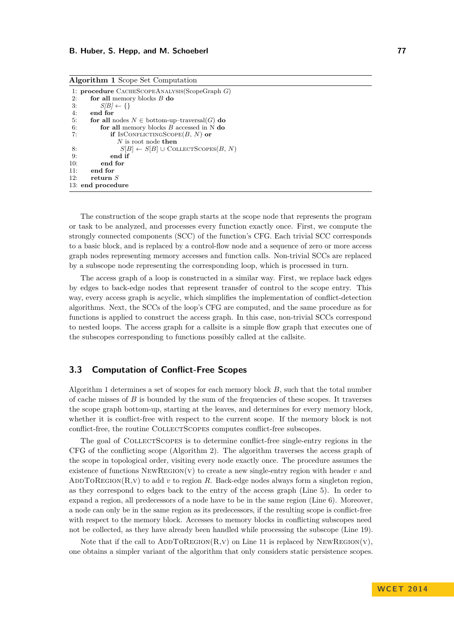|     | <b>Algorithm 1</b> Scope Set Computation                   |
|-----|------------------------------------------------------------|
|     | 1: <b>procedure</b> $C$ ACHESCOPEANALYSIS(ScopeGraph $G$ ) |
| 2:  | for all memory blocks $B$ do                               |
| 3:  | $S/B$ $\leftarrow \{\}$                                    |
| 4:  | end for                                                    |
| 5:  | for all nodes $N \in$ bottom-up-traversal(G) do            |
| 6:  | for all memory blocks $B$ accessed in N do                 |
| 7:  | if IsCONFLICTINGSCOPE $(B, N)$ or                          |
|     | $N$ is root node then                                      |
| 8:  | $S[B] \leftarrow S[B] \cup \text{COLLECTScores}(B, N)$     |
| 9:  | end if                                                     |
| 10: | end for                                                    |
| 11: | end for                                                    |
| 12: | return $S$                                                 |
|     | 13: end procedure                                          |
|     |                                                            |

The construction of the scope graph starts at the scope node that represents the program or task to be analyzed, and processes every function exactly once. First, we compute the strongly connected components (SCC) of the function's CFG. Each trivial SCC corresponds to a basic block, and is replaced by a control-flow node and a sequence of zero or more access graph nodes representing memory accesses and function calls. Non-trivial SCCs are replaced by a subscope node representing the corresponding loop, which is processed in turn.

The access graph of a loop is constructed in a similar way. First, we replace back edges by edges to back-edge nodes that represent transfer of control to the scope entry. This way, every access graph is acyclic, which simplifies the implementation of conflict-detection algorithms. Next, the SCCs of the loop's CFG are computed, and the same procedure as for functions is applied to construct the access graph. In this case, non-trivial SCCs correspond to nested loops. The access graph for a callsite is a simple flow graph that executes one of the subscopes corresponding to functions possibly called at the callsite.

# <span id="page-4-0"></span>**3.3 Computation of Conflict-Free Scopes**

Algorithm [1](#page-0-0) determines a set of scopes for each memory block *B*, such that the total number of cache misses of *B* is bounded by the sum of the frequencies of these scopes. It traverses the scope graph bottom-up, starting at the leaves, and determines for every memory block, whether it is conflict-free with respect to the current scope. If the memory block is not conflict-free, the routine COLLECTSCOPES computes conflict-free subscopes.

The goal of COLLECTSCOPES is to determine conflict-free single-entry regions in the CFG of the conflicting scope (Algorithm [2\)](#page-0-0). The algorithm traverses the access graph of the scope in topological order, visiting every node exactly once. The procedure assumes the existence of functions NewRegion(v) to create a new single-entry region with header *v* and ADDTOREGION(R, v) to add *v* to region R. Back-edge nodes always form a singleton region, as they correspond to edges back to the entry of the access graph (Line [5\)](#page-0-0). In order to expand a region, all predecessors of a node have to be in the same region (Line [6\)](#page-0-0). Moreover, a node can only be in the same region as its predecessors, if the resulting scope is conflict-free with respect to the memory block. Accesses to memory blocks in conflicting subscopes need not be collected, as they have already been handled while processing the subscope (Line [19\)](#page-0-0).

Note that if the call to  $ADDTOREGION(R, V)$  on Line [11](#page-0-0) is replaced by NEWREGION(V), one obtains a simpler variant of the algorithm that only considers static persistence scopes.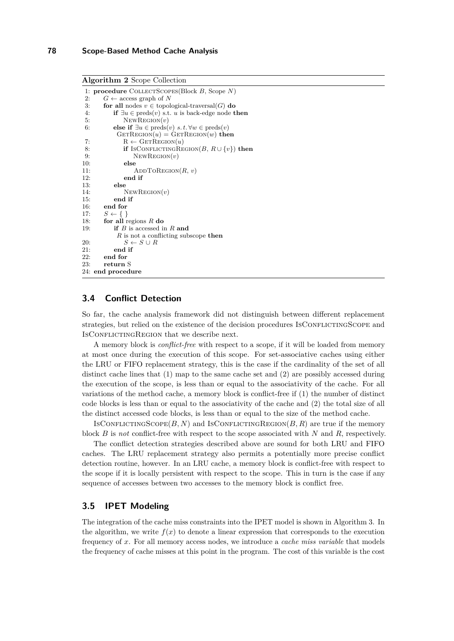**Algorithm 2** Scope Collection

```
1: procedure COLLECTSCOPES(Block B, Scope N)<br>
2: G \leftarrow access graph of N
2: G \leftarrow \arccos \text{graph of } N<br>3: for all nodes v \in \text{topol}for all nodes v \in topological-traversal(G) do
 4: if ∃u ∈ preds(v) s.t. u is back-edge node then
 5: NewRegion(v)
 6: else if \exists u \in \text{preds}(v) \ s.t. \forall w \in \text{preds}(v)GETREGION(u) = GETREGION(w) then
 7: R \leftarrow \text{GETREGION}(u)8: if IsConflictingRegion(B, R \cup \{v\}) then<br>9: NEWREGION(v)
                   NEWREGION(v)10: else
11: \qquad \qquad \text{ADDToRegion}(R, v)<br>12: end if
               end if
13: else
14: NewRegion(v)
15: end if
16: end for<br>17: S \leftarrow \{\}S \leftarrow \{\}18: for all regions R do
19: if B is accessed in R and
             R is not a conflicting subscope then
20: S \leftarrow S \cup R21: end if 22 end for
        22: end for
23: return S
24: end procedure
```
## **3.4 Conflict Detection**

So far, the cache analysis framework did not distinguish between different replacement strategies, but relied on the existence of the decision procedures IsCONFLICTINGSCOPE and IsCONFLICTINGREGION that we describe next.

A memory block is *conflict-free* with respect to a scope, if it will be loaded from memory at most once during the execution of this scope. For set-associative caches using either the LRU or FIFO replacement strategy, this is the case if the cardinality of the set of all distinct cache lines that (1) map to the same cache set and (2) are possibly accessed during the execution of the scope, is less than or equal to the associativity of the cache. For all variations of the method cache, a memory block is conflict-free if (1) the number of distinct code blocks is less than or equal to the associativity of the cache and (2) the total size of all the distinct accessed code blocks, is less than or equal to the size of the method cache.

ISCONFLICTINGSCOPE $(B, N)$  and ISCONFLICTINGREGION $(B, R)$  are true if the memory block *B* is *not* conflict-free with respect to the scope associated with *N* and *R*, respectively.

The conflict detection strategies described above are sound for both LRU and FIFO caches. The LRU replacement strategy also permits a potentially more precise conflict detection routine, however. In an LRU cache, a memory block is conflict-free with respect to the scope if it is locally persistent with respect to the scope. This in turn is the case if any sequence of accesses between two accesses to the memory block is conflict free.

## **3.5 IPET Modeling**

The integration of the cache miss constraints into the IPET model is shown in Algorithm [3.](#page-0-0) In the algorithm, we write  $f(x)$  to denote a linear expression that corresponds to the execution frequency of *x*. For all memory access nodes, we introduce a *cache miss variable* that models the frequency of cache misses at this point in the program. The cost of this variable is the cost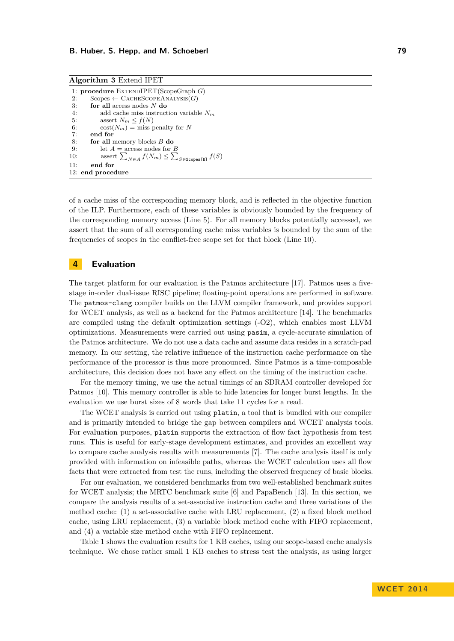**Algorithm 3** Extend IPET

```
1: procedure EXTENDIPET(ScopeGraph G)<br>2: Scopes \leftarrow CACHESCOPEANALYSIS(G)
2: Scopes ← CACHESCOPEANALYSIS(G)<br>3: for all access nodes N do
           3: for all access nodes N do
4: add cache miss instruction variable N_m<br>5: assert N_m \leq f(N)5: assert N_m \le f(N)<br>6: \operatorname{cost}(N_m) = \operatorname{miss}_{\mathcal{I}}6: \cot(N_m) = \text{miss} penalty for N<br>7: end for
           7: end for
8: for all memory blocks B do
9: let A = \text{access nodes for } B<br>10: assert \sum_{x \in A} f(N_m) < \sum10: assert \sum_{N \in A} f(N_m) \leq \sum_{S \in \text{Scopes [B]} } f(S)11: end for
12: end procedure
```
of a cache miss of the corresponding memory block, and is reflected in the objective function of the ILP. Furthermore, each of these variables is obviously bounded by the frequency of the corresponding memory access (Line [5\)](#page-0-0). For all memory blocks potentially accessed, we assert that the sum of all corresponding cache miss variables is bounded by the sum of the frequencies of scopes in the conflict-free scope set for that block (Line [10\)](#page-0-0).

# <span id="page-6-0"></span>**4 Evaluation**

The target platform for our evaluation is the Patmos architecture [\[17\]](#page-9-0). Patmos uses a fivestage in-order dual-issue RISC pipeline; floating-point operations are performed in software. The patmos-clang compiler builds on the LLVM compiler framework, and provides support for WCET analysis, as well as a backend for the Patmos architecture [\[14\]](#page-9-6). The benchmarks are compiled using the default optimization settings (-O2), which enables most LLVM optimizations. Measurements were carried out using pasim, a cycle-accurate simulation of the Patmos architecture. We do not use a data cache and assume data resides in a scratch-pad memory. In our setting, the relative influence of the instruction cache performance on the performance of the processor is thus more pronounced. Since Patmos is a time-composable architecture, this decision does not have any effect on the timing of the instruction cache.

For the memory timing, we use the actual timings of an SDRAM controller developed for Patmos [\[10\]](#page-9-7). This memory controller is able to hide latencies for longer burst lengths. In the evaluation we use burst sizes of 8 words that take 11 cycles for a read.

The WCET analysis is carried out using platin, a tool that is bundled with our compiler and is primarily intended to bridge the gap between compilers and WCET analysis tools. For evaluation purposes, platin supports the extraction of flow fact hypothesis from test runs. This is useful for early-stage development estimates, and provides an excellent way to compare cache analysis results with measurements [\[7\]](#page-9-8). The cache analysis itself is only provided with information on infeasible paths, whereas the WCET calculation uses all flow facts that were extracted from test the runs, including the observed frequency of basic blocks.

For our evaluation, we considered benchmarks from two well-established benchmark suites for WCET analysis; the MRTC benchmark suite [\[6\]](#page-9-9) and PapaBench [\[13\]](#page-9-10). In this section, we compare the analysis results of a set-associative instruction cache and three variations of the method cache: (1) a set-associative cache with LRU replacement, (2) a fixed block method cache, using LRU replacement, (3) a variable block method cache with FIFO replacement, and (4) a variable size method cache with FIFO replacement.

Table [1](#page-7-1) shows the evaluation results for 1 KB caches, using our scope-based cache analysis technique. We chose rather small 1 KB caches to stress test the analysis, as using larger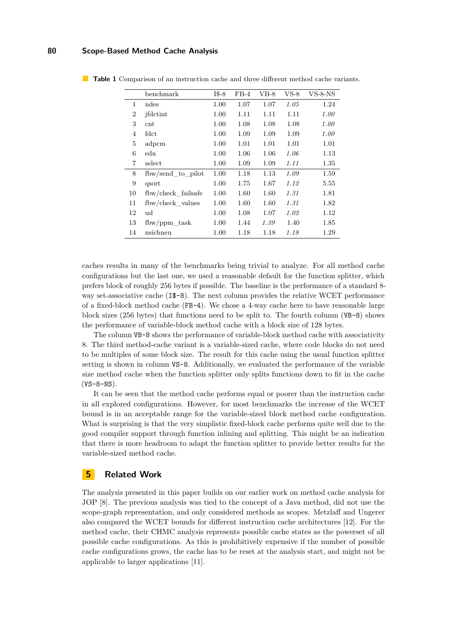#### **80 Scope-Based Method Cache Analysis**

|                | benchmark          | $I$ \$-8 | $FB-4$ | $VB-8$ | VS-8 | $VS-8-NS$ |
|----------------|--------------------|----------|--------|--------|------|-----------|
| 1              | ndes               | 1.00     | 1.07   | 1.07   | 1.05 | 1.24      |
| 2              | ifdctint           | 1.00     | 1.11   | 1.11   | 1.11 | 1.00      |
| 3              | $\rm{cnt}$         | 1.00     | 1.08   | 1.08   | 1.08 | 1.00      |
| $\overline{4}$ | fdct               | 1.00     | 1.09   | 1.09   | 1.09 | 1.00      |
| 5              | adpcm              | 1.00     | 1.01   | 1.01   | 1.01 | 1.01      |
| 6              | edn                | 1.00     | 1.06   | 1.06   | 1.06 | 1.13      |
| 7              | select             | 1.00     | 1.09   | 1.09   | 1.11 | 1.35      |
| 8              | fbw/send_to_pilot  | 1.00     | 1.18   | 1.13   | 1.09 | 1.59      |
| 9              | qsort              | 1.00     | 1.75   | 1.67   | 1.12 | 5.55      |
| 10             | fbw/check failsafe | 1.00     | 1.60   | 1.60   | 1.31 | 1.81      |
| 11             | fbw/check values   | 1.00     | 1.60   | 1.60   | 1.31 | 1.82      |
| 12             | ud                 | 1.00     | 1.08   | 1.07   | 1.02 | 1.12      |
| 13             | $f$ bw/ppm task    | 1.00     | 1.44   | 1.39   | 1.40 | 1.85      |
| 14             | nsichneu           | 1.00     | 1.18   | 1.18   | 1.18 | 1.29      |

<span id="page-7-1"></span>**Table 1** Comparison of an instruction cache and three different method cache variants.

caches results in many of the benchmarks being trivial to analyze. For all method cache configurations but the last one, we used a reasonable default for the function splitter, which prefers block of roughly 256 bytes if possible. The baseline is the performance of a standard 8 way set-associative cache (I\$-8). The next column provides the relative WCET performance of a fixed-block method cache (FB-4). We chose a 4-way cache here to have reasonable large block sizes (256 bytes) that functions need to be split to. The fourth column (VB-8) shows the performance of variable-block method cache with a block size of 128 bytes.

The column VB-8 shows the performance of variable-block method cache with associativity 8. The third method-cache variant is a variable-sized cache, where code blocks do not need to be multiples of some block size. The result for this cache using the usual function splitter setting is shown in column VS-8. Additionally, we evaluated the performance of the variable size method cache when the function splitter only splits functions down to fit in the cache  $(VS-8-NS)$ .

It can be seen that the method cache performs equal or poorer than the instruction cache in all explored configurations. However, for most benchmarks the increase of the WCET bound is in an acceptable range for the variable-sized block method cache configuration. What is surprising is that the very simplistic fixed-block cache performs quite well due to the good compiler support through function inlining and splitting. This might be an indication that there is more headroom to adapt the function splitter to provide better results for the variable-sized method cache.

## <span id="page-7-0"></span>**5 Related Work**

The analysis presented in this paper builds on our earlier work on method cache analysis for JOP [\[8\]](#page-9-11). The previous analysis was tied to the concept of a Java method, did not use the scope-graph representation, and only considered methods as scopes. Metzlaff and Ungerer also compared the WCET bounds for different instruction cache architectures [\[12\]](#page-9-12). For the method cache, their CHMC analysis represents possible cache states as the powerset of all possible cache configurations. As this is prohibitively expensive if the number of possible cache configurations grows, the cache has to be reset at the analysis start, and might not be applicable to larger applications [\[11\]](#page-9-13).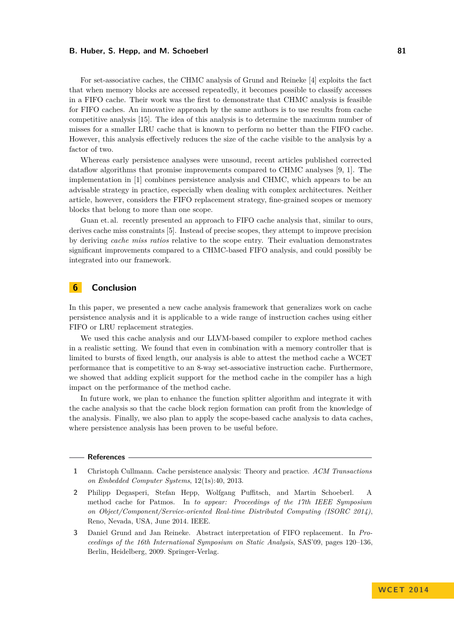#### **B. Huber, S. Hepp, and M. Schoeberl 81 B. All and St. 2008 81**

For set-associative caches, the CHMC analysis of Grund and Reineke [\[4\]](#page-9-4) exploits the fact that when memory blocks are accessed repeatedly, it becomes possible to classify accesses in a FIFO cache. Their work was the first to demonstrate that CHMC analysis is feasible for FIFO caches. An innovative approach by the same authors is to use results from cache competitive analysis [\[15\]](#page-9-14). The idea of this analysis is to determine the maximum number of misses for a smaller LRU cache that is known to perform no better than the FIFO cache. However, this analysis effectively reduces the size of the cache visible to the analysis by a factor of two.

Whereas early persistence analyses were unsound, recent articles published corrected dataflow algorithms that promise improvements compared to CHMC analyses [\[9,](#page-9-5) [1\]](#page-8-0). The implementation in [\[1\]](#page-8-0) combines persistence analysis and CHMC, which appears to be an advisable strategy in practice, especially when dealing with complex architectures. Neither article, however, considers the FIFO replacement strategy, fine-grained scopes or memory blocks that belong to more than one scope.

Guan et. al. recently presented an approach to FIFO cache analysis that, similar to ours, derives cache miss constraints [\[5\]](#page-9-15). Instead of precise scopes, they attempt to improve precision by deriving *cache miss ratios* relative to the scope entry. Their evaluation demonstrates significant improvements compared to a CHMC-based FIFO analysis, and could possibly be integrated into our framework.

## <span id="page-8-1"></span>**6 Conclusion**

In this paper, we presented a new cache analysis framework that generalizes work on cache persistence analysis and it is applicable to a wide range of instruction caches using either FIFO or LRU replacement strategies.

We used this cache analysis and our LLVM-based compiler to explore method caches in a realistic setting. We found that even in combination with a memory controller that is limited to bursts of fixed length, our analysis is able to attest the method cache a WCET performance that is competitive to an 8-way set-associative instruction cache. Furthermore, we showed that adding explicit support for the method cache in the compiler has a high impact on the performance of the method cache.

In future work, we plan to enhance the function splitter algorithm and integrate it with the cache analysis so that the cache block region formation can profit from the knowledge of the analysis. Finally, we also plan to apply the scope-based cache analysis to data caches, where persistence analysis has been proven to be useful before.

#### **References**

- <span id="page-8-0"></span>**1** Christoph Cullmann. Cache persistence analysis: Theory and practice. *ACM Transactions on Embedded Computer Systems*, 12(1s):40, 2013.
- <span id="page-8-2"></span>**2** Philipp Degasperi, Stefan Hepp, Wolfgang Puffitsch, and Martin Schoeberl. A method cache for Patmos. In *to appear: Proceedings of the 17th IEEE Symposium on Object/Component/Service-oriented Real-time Distributed Computing (ISORC 2014)*, Reno, Nevada, USA, June 2014. IEEE.
- <span id="page-8-3"></span>**3** Daniel Grund and Jan Reineke. Abstract interpretation of FIFO replacement. In *Proceedings of the 16th International Symposium on Static Analysis*, SAS'09, pages 120–136, Berlin, Heidelberg, 2009. Springer-Verlag.